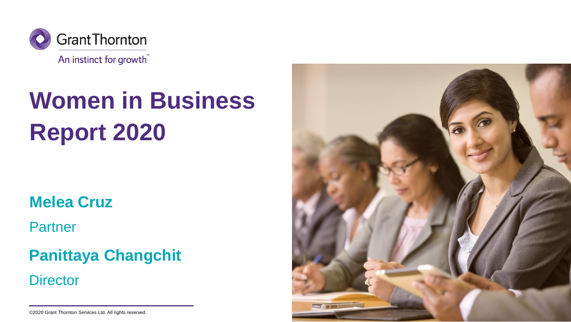

# **Women in Business Report 2020**

**Melea Cruz**

**Partner** 

### **Panittaya Changchit**

**Director** 

©2020 Grant Thornton Services Ltd. All rights reserved.

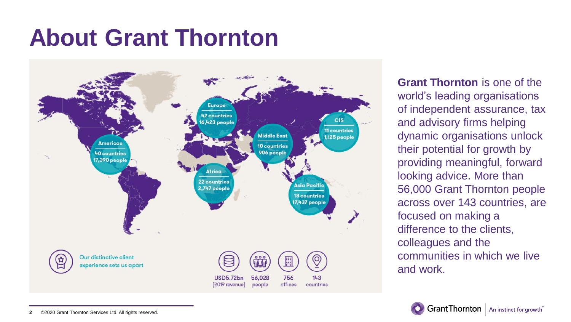## **About Grant Thornton**



**Grant Thornton** is one of the world's leading organisations of independent assurance, tax and advisory firms helping dynamic organisations unlock their potential for growth by providing meaningful, forward looking advice. More than 56,000 Grant Thornton people across over 143 countries, are focused on making a difference to the clients, colleagues and the communities in which we live and work.

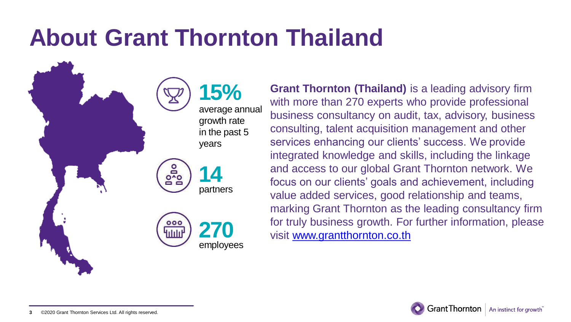## **About Grant Thornton Thailand**

**15%** average annual growth rate in the past 5 years

Dono<br>Do **14** partners



**Grant Thornton (Thailand)** is a leading advisory firm with more than 270 experts who provide professional business consultancy on audit, tax, advisory, business consulting, talent acquisition management and other services enhancing our clients' success. We provide integrated knowledge and skills, including the linkage and access to our global Grant Thornton network. We focus on our clients' goals and achievement, including value added services, good relationship and teams, marking Grant Thornton as the leading consultancy firm for truly business growth. For further information, please visit [www.grantthornton.co.th](http://www.grantthornton.co.th/)

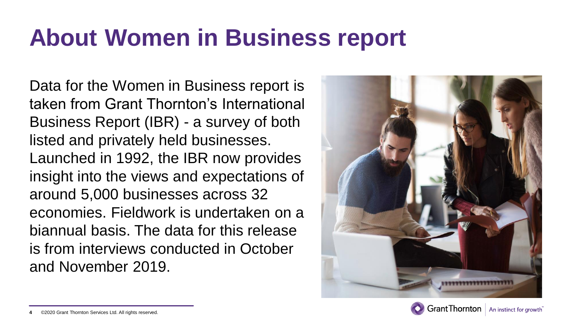## **About Women in Business report**

Data for the Women in Business report is taken from Grant Thornton's International Business Report (IBR) - a survey of both listed and privately held businesses. Launched in 1992, the IBR now provides insight into the views and expectations of around 5,000 businesses across 32 economies. Fieldwork is undertaken on a biannual basis. The data for this release is from interviews conducted in October and November 2019.





An instinct for growth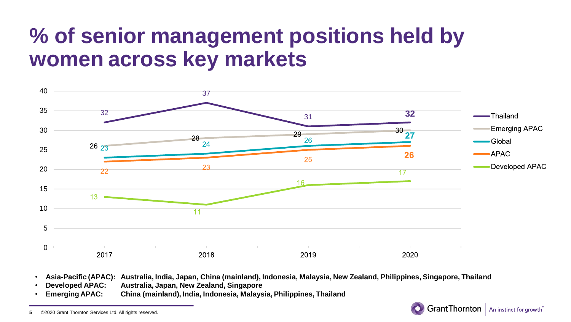### **% of senior management positions held by women across key markets**



- **Asia-Pacific (APAC): Australia, India, Japan, China (mainland), Indonesia, Malaysia, New Zealand, Philippines, Singapore, Thailand**
- **Developed APAC: Australia, Japan, New Zealand, Singapore**
- **Emerging APAC: China (mainland), India, Indonesia, Malaysia, Philippines, Thailand**

Grant Thornton | An instinct for growth

<sup>©2020</sup> Grant Thornton Services Ltd. All rights reserved.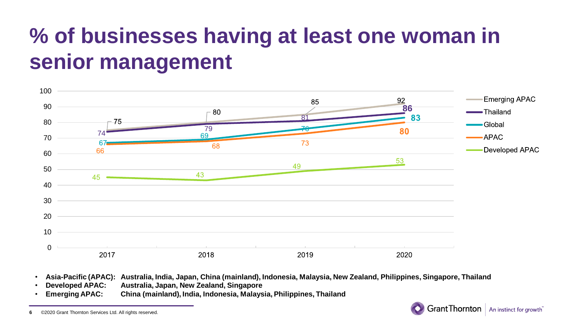### **% of businesses having at least one woman in senior management**



- **Asia-Pacific (APAC): Australia, India, Japan, China (mainland), Indonesia, Malaysia, New Zealand, Philippines, Singapore, Thailand**
- **Developed APAC: Australia, Japan, New Zealand, Singapore**
- **Emerging APAC: China (mainland), India, Indonesia, Malaysia, Philippines, Thailand**



<sup>©2020</sup> Grant Thornton Services Ltd. All rights reserved.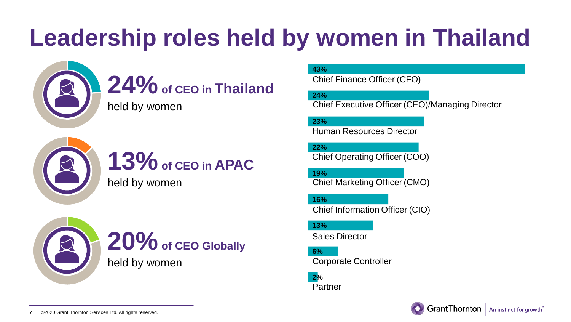## **Leadership roles held by women in Thailand**



### **24%of CEO in Thailand**

held by women



### **13%of CEO in APAC**

held by women



#### **43%**

Chief Finance Officer (CFO)

**24%**

Chief Executive Officer (CEO)/Managing Director

**23%**

Human Resources Director

**22%** Chief Operating Officer (COO)

**19%** Chief Marketing Officer (CMO)

**16%** Chief Information Officer (CIO)

**13%**

Sales Director

**6%** Corporate Controller

**2%** Partner

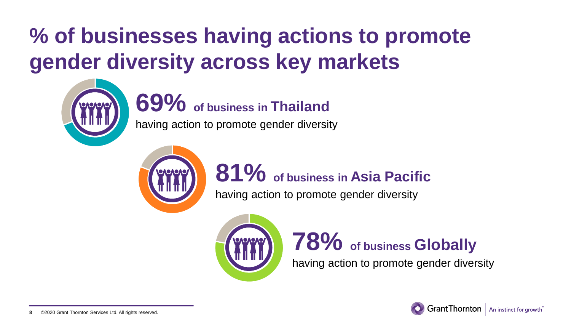## **% of businesses having actions to promote gender diversity across key markets**



**69% of business in Thailand**

having action to promote gender diversity



### **81% of business in Asia Pacific**

having action to promote gender diversity



### **78% of business Globally**

having action to promote gender diversity

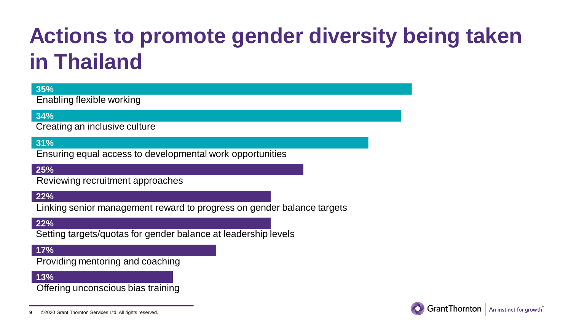### **Actions to promote gender diversity being taken in Thailand**

#### **35%**

Enabling flexible working

#### **34%**

Creating an inclusive culture

#### **31%**

Ensuring equal access to developmental work opportunities

#### **25%**

Reviewing recruitment approaches

#### **22%**

Linking senior management reward to progress on gender balance targets

#### **22%**

Setting targets/quotas for gender balance at leadership levels

#### **17%**

Providing mentoring and coaching

#### **13%**

Offering unconscious bias training

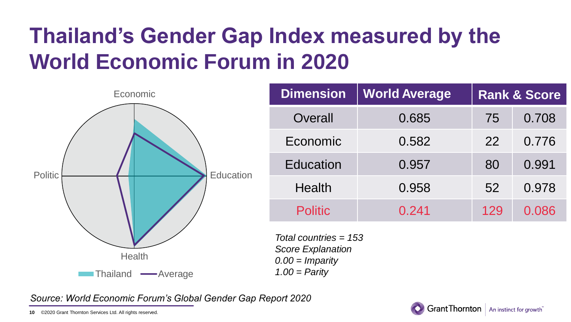## **Thailand's Gender Gap Index measured by the World Economic Forum in 2020**



*Source: World Economic Forum's Global Gender Gap Report 2020*

©2020 Grant Thornton Services Ltd. All rights reserved. **10**

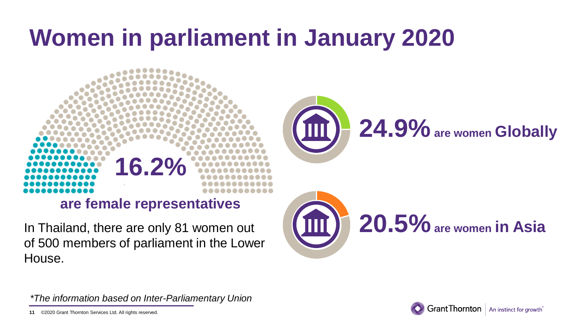## **Women in parliament in January 2020**





of 500 members of parliament in the Lower House.





*\*The information based on Inter-Parliamentary Union*

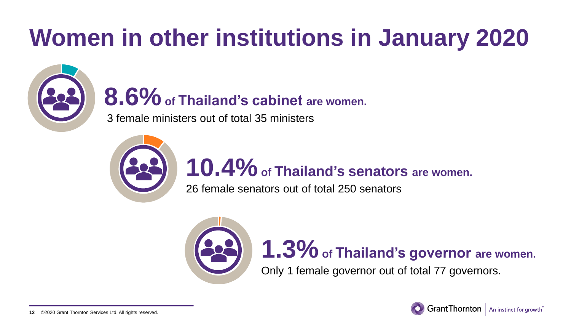## **Women in other institutions in January 2020**



**8.6%of Thailand's cabinet are women.**

3 female ministers out of total 35 ministers



## **10.4%of Thailand's senators are women.**

26 female senators out of total 250 senators



# **1.3%of Thailand's governor are women.**

Only 1 female governor out of total 77 governors.